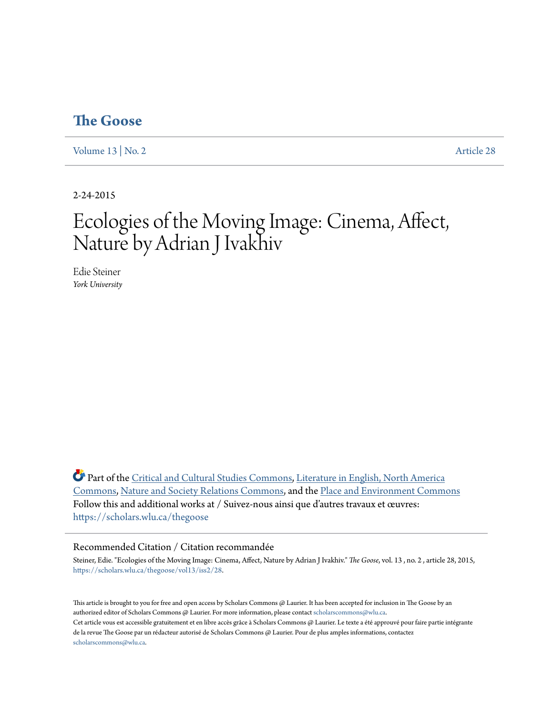## **[The Goose](https://scholars.wlu.ca/thegoose?utm_source=scholars.wlu.ca%2Fthegoose%2Fvol13%2Fiss2%2F28&utm_medium=PDF&utm_campaign=PDFCoverPages)**

[Volume 13](https://scholars.wlu.ca/thegoose/vol13?utm_source=scholars.wlu.ca%2Fthegoose%2Fvol13%2Fiss2%2F28&utm_medium=PDF&utm_campaign=PDFCoverPages) | [No. 2](https://scholars.wlu.ca/thegoose/vol13/iss2?utm_source=scholars.wlu.ca%2Fthegoose%2Fvol13%2Fiss2%2F28&utm_medium=PDF&utm_campaign=PDFCoverPages) [Article 28](https://scholars.wlu.ca/thegoose/vol13/iss2/28?utm_source=scholars.wlu.ca%2Fthegoose%2Fvol13%2Fiss2%2F28&utm_medium=PDF&utm_campaign=PDFCoverPages)

2-24-2015

# Ecologies of the Moving Image: Cinema, Affect, Nature by Adrian J Ivakhiv

Edie Steiner *York University*

Part of the [Critical and Cultural Studies Commons](http://network.bepress.com/hgg/discipline/328?utm_source=scholars.wlu.ca%2Fthegoose%2Fvol13%2Fiss2%2F28&utm_medium=PDF&utm_campaign=PDFCoverPages), [Literature in English, North America](http://network.bepress.com/hgg/discipline/458?utm_source=scholars.wlu.ca%2Fthegoose%2Fvol13%2Fiss2%2F28&utm_medium=PDF&utm_campaign=PDFCoverPages) [Commons,](http://network.bepress.com/hgg/discipline/458?utm_source=scholars.wlu.ca%2Fthegoose%2Fvol13%2Fiss2%2F28&utm_medium=PDF&utm_campaign=PDFCoverPages) [Nature and Society Relations Commons](http://network.bepress.com/hgg/discipline/357?utm_source=scholars.wlu.ca%2Fthegoose%2Fvol13%2Fiss2%2F28&utm_medium=PDF&utm_campaign=PDFCoverPages), and the [Place and Environment Commons](http://network.bepress.com/hgg/discipline/424?utm_source=scholars.wlu.ca%2Fthegoose%2Fvol13%2Fiss2%2F28&utm_medium=PDF&utm_campaign=PDFCoverPages) Follow this and additional works at / Suivez-nous ainsi que d'autres travaux et œuvres: [https://scholars.wlu.ca/thegoose](https://scholars.wlu.ca/thegoose?utm_source=scholars.wlu.ca%2Fthegoose%2Fvol13%2Fiss2%2F28&utm_medium=PDF&utm_campaign=PDFCoverPages)

#### Recommended Citation / Citation recommandée

Steiner, Edie. "Ecologies of the Moving Image: Cinema, Affect, Nature by Adrian J Ivakhiv." *The Goose*, vol. 13 , no. 2 , article 28, 2015, [https://scholars.wlu.ca/thegoose/vol13/iss2/28.](https://scholars.wlu.ca/thegoose/vol13/iss2/28?utm_source=scholars.wlu.ca%2Fthegoose%2Fvol13%2Fiss2%2F28&utm_medium=PDF&utm_campaign=PDFCoverPages)

This article is brought to you for free and open access by Scholars Commons @ Laurier. It has been accepted for inclusion in The Goose by an authorized editor of Scholars Commons @ Laurier. For more information, please contact [scholarscommons@wlu.ca.](mailto:scholarscommons@wlu.ca) Cet article vous est accessible gratuitement et en libre accès grâce à Scholars Commons @ Laurier. Le texte a été approuvé pour faire partie intégrante de la revue The Goose par un rédacteur autorisé de Scholars Commons @ Laurier. Pour de plus amples informations, contactez [scholarscommons@wlu.ca.](mailto:scholarscommons@wlu.ca)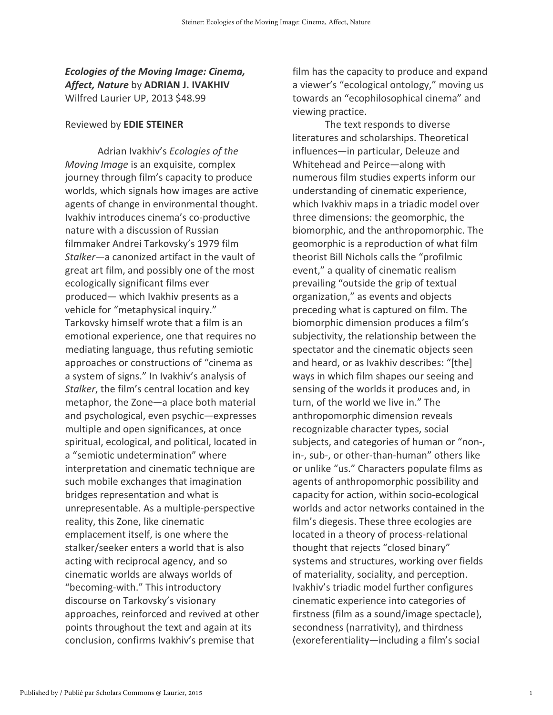## Ecologies of the Moving Image: Cinema, Affect, Nature by ADRIAN J. IVAKHIV Wilfred Laurier UP, 2013 \$48.99

### Reviewed by EDIE STEINER

Adrian Ivakhiv's Ecologies of the Moving Image is an exquisite, complex journey through film's capacity to produce worlds, which signals how images are active agents of change in environmental thought. Ivakhiv introduces cinema's co-productive nature with a discussion of Russian filmmaker Andrei Tarkovsky's 1979 film Stalker—a canonized artifact in the vault of great art film, and possibly one of the most ecologically significant films ever produced— which Ivakhiv presents as a vehicle for "metaphysical inquiry." Tarkovsky himself wrote that a film is an emotional experience, one that requires no mediating language, thus refuting semiotic approaches or constructions of "cinema as a system of signs." In Ivakhiv's analysis of Stalker, the film's central location and key metaphor, the Zone—a place both material and psychological, even psychic—expresses multiple and open significances, at once spiritual, ecological, and political, located in a "semiotic undetermination" where interpretation and cinematic technique are such mobile exchanges that imagination bridges representation and what is unrepresentable. As a multiple-perspective reality, this Zone, like cinematic emplacement itself, is one where the stalker/seeker enters a world that is also acting with reciprocal agency, and so cinematic worlds are always worlds of "becoming-with." This introductory discourse on Tarkovsky's visionary approaches, reinforced and revived at other points throughout the text and again at its conclusion, confirms Ivakhiv's premise that

film has the capacity to produce and expand a viewer's "ecological ontology," moving us towards an "ecophilosophical cinema" and viewing practice.

 The text responds to diverse literatures and scholarships. Theoretical influences—in particular, Deleuze and Whitehead and Peirce—along with numerous film studies experts inform our understanding of cinematic experience, which Ivakhiv maps in a triadic model over three dimensions: the geomorphic, the biomorphic, and the anthropomorphic. The geomorphic is a reproduction of what film theorist Bill Nichols calls the "profilmic event," a quality of cinematic realism prevailing "outside the grip of textual organization," as events and objects preceding what is captured on film. The biomorphic dimension produces a film's subjectivity, the relationship between the spectator and the cinematic objects seen and heard, or as Ivakhiv describes: "[the] ways in which film shapes our seeing and sensing of the worlds it produces and, in turn, of the world we live in." The anthropomorphic dimension reveals recognizable character types, social subjects, and categories of human or "non-, in-, sub-, or other-than-human" others like or unlike "us." Characters populate films as agents of anthropomorphic possibility and capacity for action, within socio-ecological worlds and actor networks contained in the film's diegesis. These three ecologies are located in a theory of process-relational thought that rejects "closed binary" systems and structures, working over fields of materiality, sociality, and perception. Ivakhiv's triadic model further configures cinematic experience into categories of firstness (film as a sound/image spectacle), secondness (narrativity), and thirdness (exoreferentiality—including a film's social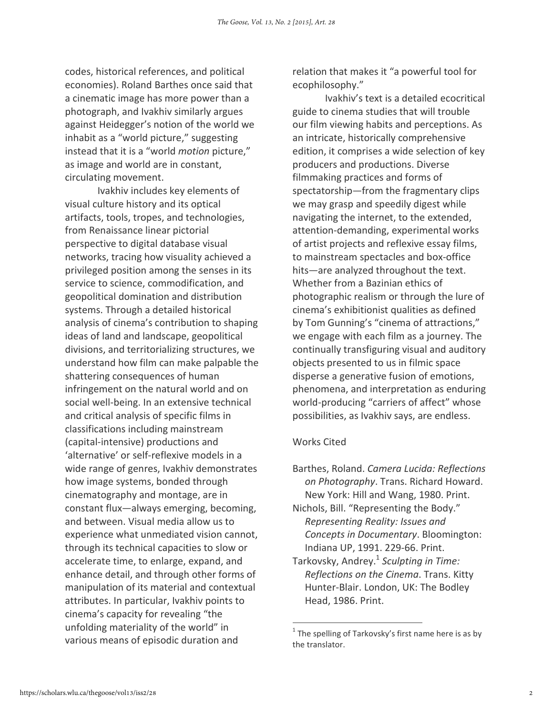codes, historical references, and political economies). Roland Barthes once said that a cinematic image has more power than a photograph, and Ivakhiv similarly argues against Heidegger's notion of the world we inhabit as a "world picture," suggesting instead that it is a "world motion picture," as image and world are in constant, circulating movement.

 Ivakhiv includes key elements of visual culture history and its optical artifacts, tools, tropes, and technologies, from Renaissance linear pictorial perspective to digital database visual networks, tracing how visuality achieved a privileged position among the senses in its service to science, commodification, and geopolitical domination and distribution systems. Through a detailed historical analysis of cinema's contribution to shaping ideas of land and landscape, geopolitical divisions, and territorializing structures, we understand how film can make palpable the shattering consequences of human infringement on the natural world and on social well-being. In an extensive technical and critical analysis of specific films in classifications including mainstream (capital-intensive) productions and 'alternative' or self-reflexive models in a wide range of genres, Ivakhiv demonstrates how image systems, bonded through cinematography and montage, are in constant flux—always emerging, becoming, and between. Visual media allow us to experience what unmediated vision cannot, through its technical capacities to slow or accelerate time, to enlarge, expand, and enhance detail, and through other forms of manipulation of its material and contextual attributes. In particular, Ivakhiv points to cinema's capacity for revealing "the unfolding materiality of the world" in various means of episodic duration and

relation that makes it "a powerful tool for ecophilosophy."

 Ivakhiv's text is a detailed ecocritical guide to cinema studies that will trouble our film viewing habits and perceptions. As an intricate, historically comprehensive edition, it comprises a wide selection of key producers and productions. Diverse filmmaking practices and forms of spectatorship—from the fragmentary clips we may grasp and speedily digest while navigating the internet, to the extended, attention-demanding, experimental works of artist projects and reflexive essay films, to mainstream spectacles and box-office hits—are analyzed throughout the text. Whether from a Bazinian ethics of photographic realism or through the lure of cinema's exhibitionist qualities as defined by Tom Gunning's "cinema of attractions," we engage with each film as a journey. The continually transfiguring visual and auditory objects presented to us in filmic space disperse a generative fusion of emotions, phenomena, and interpretation as enduring world-producing "carriers of affect" whose possibilities, as Ivakhiv says, are endless.

#### Works Cited

 $\overline{a}$ 

- Barthes, Roland. Camera Lucida: Reflections on Photography. Trans. Richard Howard. New York: Hill and Wang, 1980. Print.
- Nichols, Bill. "Representing the Body." Representing Reality: Issues and Concepts in Documentary. Bloomington: Indiana UP, 1991. 229-66. Print.
- Tarkovsky, Andrey.<sup>1</sup> Sculpting in Time: Reflections on the Cinema. Trans. Kitty Hunter-Blair. London, UK: The Bodley Head, 1986. Print.

 $1$  The spelling of Tarkovsky's first name here is as by the translator.